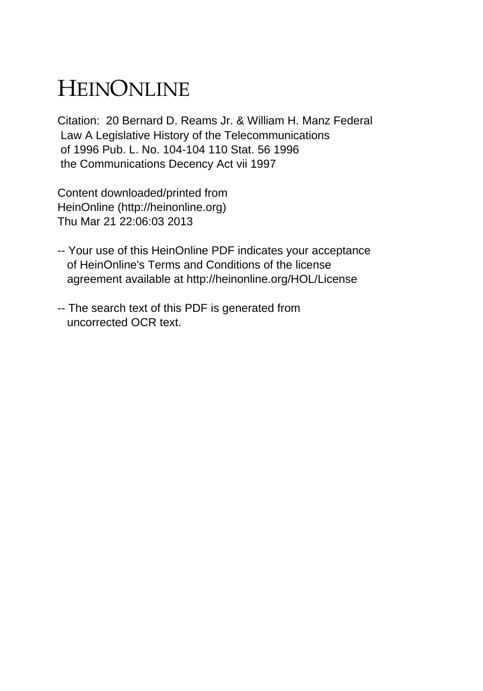## HEINONLINE

Citation: 20 Bernard D. Reams Jr. & William H. Manz Federal Law A Legislative History of the Telecommunications of 1996 Pub. L. No. 104-104 110 Stat. 56 1996 the Communications Decency Act vii 1997

Content downloaded/printed from HeinOnline (http://heinonline.org) Thu Mar 21 22:06:03 2013

- -- Your use of this HeinOnline PDF indicates your acceptance of HeinOnline's Terms and Conditions of the license agreement available at http://heinonline.org/HOL/License
- -- The search text of this PDF is generated from uncorrected OCR text.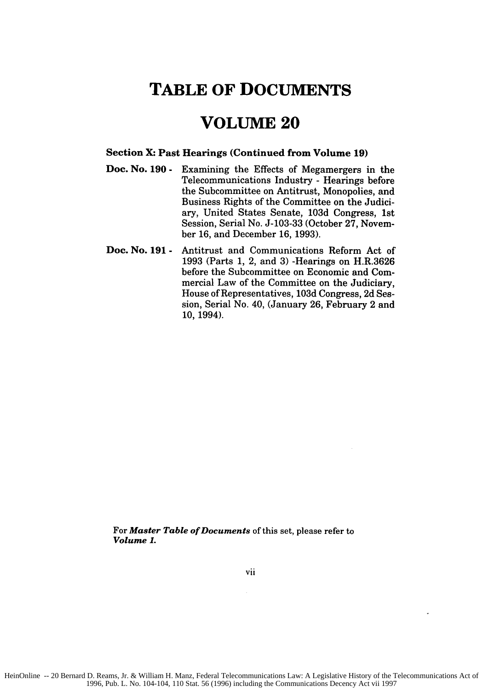## **TABLE OF DOCUMENTS**

## **VOLUME 20**

## **Section X: Past Hearings (Continued from Volume 19)**

- **Doc. No. 190 -** Examining the Effects of Megamergers in the Telecommunications Industry **-** Hearings before the Subcommittee on Antitrust, Monopolies, and Business Rights of the Committee on the Judiciary, United States Senate, 103d Congress, 1st Session, Serial No. J-103-33 (October 27, November 16, and December 16, 1993).
- **Doc. No. 191 -** Antitrust and Communications Reform Act of 1993 (Parts 1, 2, and 3) -Hearings on H.R.3626 before the Subcommittee on Economic and Commercial Law of the Committee on the Judiciary, House of Representatives, 103d Congress, 2d Session, Serial No. 40, (January 26, February 2 and 10, 1994).

For *Master Table of Documents* of this set, please refer to *Volume 1.*

vii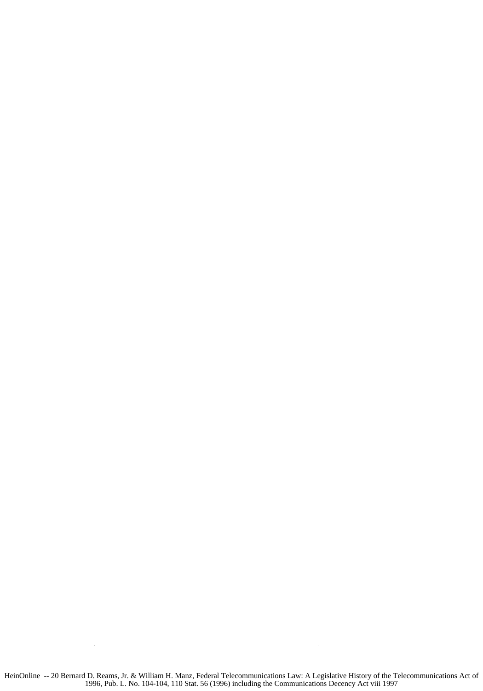HeinOnline -- 20 Bernard D. Reams, Jr. & William H. Manz, Federal Telecommunications Law: A Legislative History of the Telecommunications Act of 1996, Pub. L. No. 104-104, 110 Stat. 56 (1996) including the Communications Decency Act viii 1997

 $\sim 10$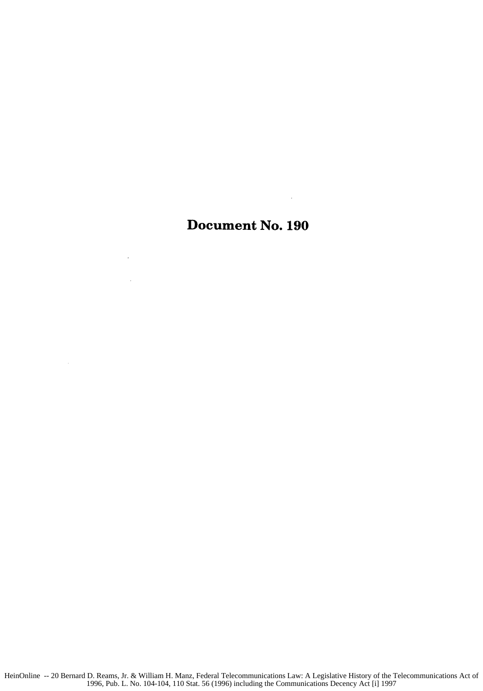Document No. **190**

 $\bar{\mathcal{A}}$ 

 $\overline{a}$ 

 $\sim 10$